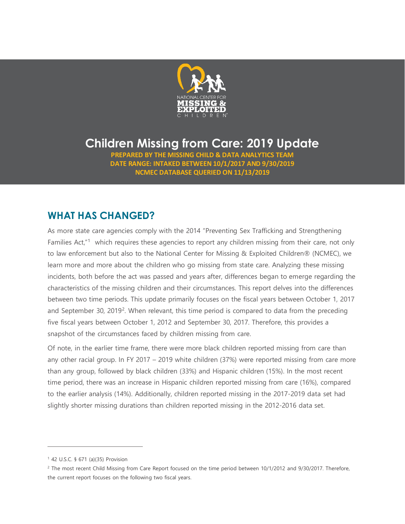

# **Children Missing from Care: 2019 Update**

**PREPARED BY THE MISSING CHILD & DATA ANALYTICS TEAM DATE RANGE: INTAKED BETWEEN 10/1/2017 AND 9/30/2019 NCMEC DATABASE QUERIED ON 11/13/2019**

## **WHAT HAS CHANGED?**

As more state care agencies comply with the 2014 "Preventing Sex Trafficking and Strengthening Families Act,"<sup>[1](#page-0-0)</sup> which requires these agencies to report any children missing from their care, not only to law enforcement but also to the National Center for Missing & Exploited Children® (NCMEC), we learn more and more about the children who go missing from state care. Analyzing these missing incidents, both before the act was passed and years after, differences began to emerge regarding the characteristics of the missing children and their circumstances. This report delves into the differences between two time periods. This update primarily focuses on the fiscal years between October 1, 2017 and September 30, [2](#page-0-1)019<sup>2</sup>. When relevant, this time period is compared to data from the preceding five fiscal years between October 1, 2012 and September 30, 2017. Therefore, this provides a snapshot of the circumstances faced by children missing from care.

Of note, in the earlier time frame, there were more black children reported missing from care than any other racial group. In FY 2017 – 2019 white children (37%) were reported missing from care more than any group, followed by black children (33%) and Hispanic children (15%). In the most recent time period, there was an increase in Hispanic children reported missing from care (16%), compared to the earlier analysis (14%). Additionally, children reported missing in the 2017-2019 data set had slightly shorter missing durations than children reported missing in the 2012-2016 data set.

l,

<span id="page-0-0"></span><sup>1</sup> 42 U.S.C. § 671 (a)(35) Provision

<span id="page-0-1"></span><sup>&</sup>lt;sup>2</sup> The most recent Child Missing from Care Report focused on the time period between 10/1/2012 and 9/30/2017. Therefore, the current report focuses on the following two fiscal years.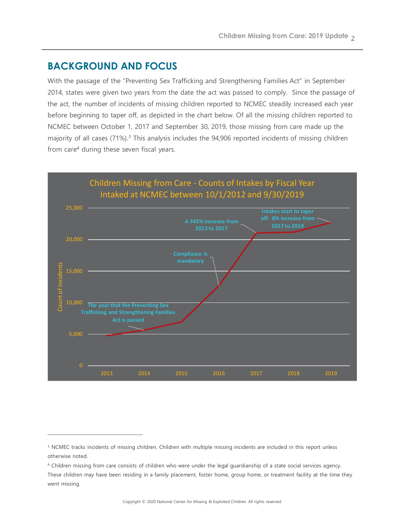### **BACKGROUND AND FOCUS**

l,

With the passage of the "Preventing Sex Trafficking and Strengthening Families Act" in September 2014, states were given two years from the date the act was passed to comply. Since the passage of the act, the number of incidents of missing children reported to NCMEC steadily increased each year before beginning to taper off, as depicted in the chart below. Of all the missing children reported to NCMEC between October 1, 2017 and September 30, 2019, those missing from care made up the majority of all cases (71%).<sup>3</sup> This analysis includes the 94,906 reported incidents of missing children from care<sup>4</sup> during these seven fiscal years.



<span id="page-1-0"></span><sup>&</sup>lt;sup>3</sup> NCMEC tracks incidents of missing children. Children with multiple missing incidents are included in this report unless otherwise noted.

<span id="page-1-1"></span><sup>4</sup> Children missing from care consists of children who were under the legal guardianship of a state social services agency. These children may have been residing in a family placement, foster home, group home, or treatment facility at the time they went missing.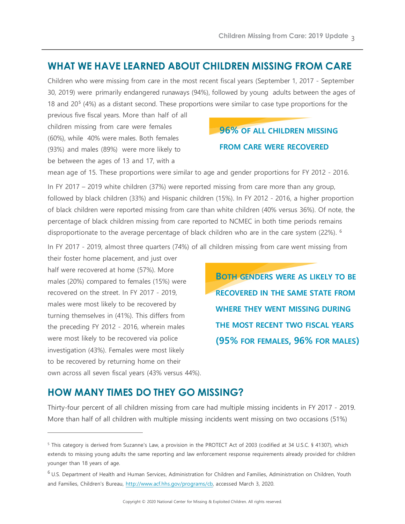#### **WHAT WE HAVE LEARNED ABOUT CHILDREN MISSING FROM CARE**

Children who were missing from care in the most recent fiscal years (September 1, 2017 - September 30, 2019) were primarily endangered runaways (94%), followed by young adults between the ages of 18 and 20[5](#page-2-0) (4%) as a distant second. These proportions were similar to case type proportions for the

previous five fiscal years. More than half of all children missing from care were females (60%), while 40% were males. Both females (93%) and males (89%) were more likely to be between the ages of 13 and 17, with a

## **96% OF ALL CHILDREN MISSING FROM CARE WERE RECOVERED**

mean age of 15. These proportions were similar to age and gender proportions for FY 2012 - 2016.

In FY 2017 – 2019 white children (37%) were reported missing from care more than any group, followed by black children (33%) and Hispanic children (15%). In FY 2012 - 2016, a higher proportion of black children were reported missing from care than white children (40% versus 36%). Of note, the percentage of black children missing from care reported to NCMEC in both time periods remains disproportionate to the average percentage of black children who are in the care system (22%). [6](#page-2-1)

In FY 2017 - 2019, almost three quarters (74%) of all children missing from care went missing from

their foster home placement, and just over half were recovered at home (57%). More males (20%) compared to females (15%) were recovered on the street. In FY 2017 - 2019, males were most likely to be recovered by turning themselves in (41%). This differs from the preceding FY 2012 - 2016, wherein males were most likely to be recovered via police investigation (43%). Females were most likely to be recovered by returning home on their own across all seven fiscal years (43% versus 44%).

l,

**BOTH GENDERS WERE AS LIKELY TO BE RECOVERED IN THE SAME STATE FROM WHERE THEY WENT MISSING DURING THE MOST RECENT TWO FISCAL YEARS (95% FOR FEMALES, 96% FOR MALES)**

#### **HOW MANY TIMES DO THEY GO MISSING?**

Thirty-four percent of all children missing from care had multiple missing incidents in FY 2017 - 2019. More than half of all children with multiple missing incidents went missing on two occasions (51%)

<span id="page-2-0"></span><sup>5</sup> This category is derived from Suzanne's Law, a provision in the PROTECT Act of 2003 (codified at 34 U.S.C. § 41307), which extends to missing young adults the same reporting and law enforcement response requirements already provided for children younger than 18 years of age.

<span id="page-2-1"></span> $6$  U.S. Department of Health and Human Services, Administration for Children and Families, Administration on Children, Youth and Families, Children's Bureau, [http://www.acf.hhs.gov/programs/cb,](http://www.acf.hhs.gov/programs/cb) accessed March 3, 2020.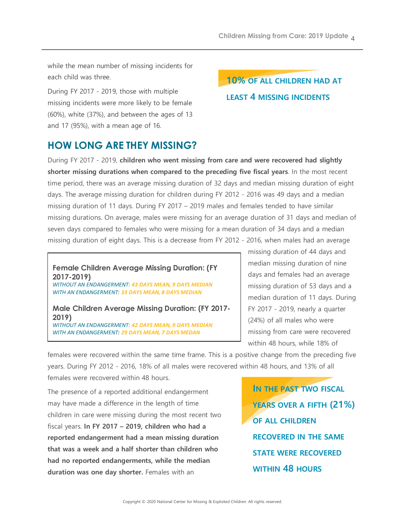while the mean number of missing incidents for each child was three.

During FY 2017 - 2019, those with multiple missing incidents were more likely to be female (60%), white (37%), and between the ages of 13 and 17 (95%), with a mean age of 16.

# **10% OF ALL CHILDREN HAD AT LEAST 4 MISSING INCIDENTS**

## **HOW LONG ARE THEY MISSING?**

During FY 2017 - 2019, **children who went missing from care and were recovered had slightly shorter missing durations when compared to the preceding five fiscal years**. In the most recent time period, there was an average missing duration of 32 days and median missing duration of eight days. The average missing duration for children during FY 2012 - 2016 was 49 days and a median missing duration of 11 days. During FY 2017 – 2019 males and females tended to have similar missing durations. On average, males were missing for an average duration of 31 days and median of seven days compared to females who were missing for a mean duration of 34 days and a median missing duration of eight days. This is a decrease from FY 2012 - 2016, when males had an average

**Female Children Average Missing Duration: (FY 2017-2019)** *WITHOUT AN ENDANGERMENT: 43 DAYS MEAN, 9 DAYS MEDIAN*

*WITH AN ENDANGERMENT: 33 DAYS MEAN, 8 DAYS MEDIAN*

**Male Children Average Missing Duration: (FY 2017- 2019)** *WITHOUT AN ENDANGERMENT: 42 DAYS MEAN, 9 DAYS MEDIAN WITH AN ENDANGERMENT: 29 DAYS MEAN, 7 DAYS MEDAN*

missing duration of 44 days and median missing duration of nine days and females had an average missing duration of 53 days and a median duration of 11 days. During FY 2017 - 2019, nearly a quarter (24%) of all males who were missing from care were recovered within 48 hours, while 18% of

females were recovered within the same time frame. This is a positive change from the preceding five years. During FY 2012 - 2016, 18% of all males were recovered within 48 hours, and 13% of all females were recovered within 48 hours.

The presence of a reported additional endangerment may have made a difference in the length of time children in care were missing during the most recent two fiscal years. **In FY 2017 – 2019, children who had a reported endangerment had a mean missing duration that was a week and a half shorter than children who had no reported endangerments, while the median duration was one day shorter.** Females with an

**IN THE PAST TWO FISCAL YEARS OVER A FIFTH (21%) OF ALL CHILDREN RECOVERED IN THE SAME STATE WERE RECOVERED WITHIN 48 HOURS**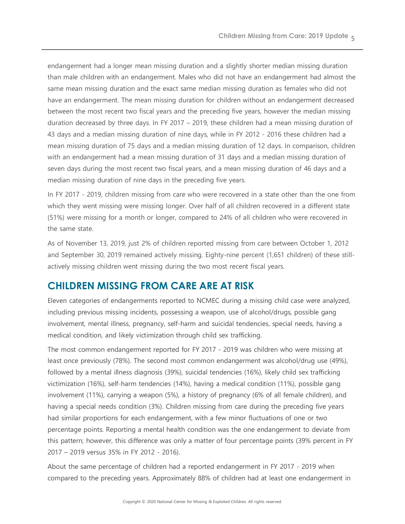endangerment had a longer mean missing duration and a slightly shorter median missing duration than male children with an endangerment. Males who did not have an endangerment had almost the same mean missing duration and the exact same median missing duration as females who did not have an endangerment. The mean missing duration for children without an endangerment decreased between the most recent two fiscal years and the preceding five years, however the median missing duration decreased by three days. In FY 2017 – 2019, these children had a mean missing duration of 43 days and a median missing duration of nine days, while in FY 2012 - 2016 these children had a mean missing duration of 75 days and a median missing duration of 12 days. In comparison, children with an endangerment had a mean missing duration of 31 days and a median missing duration of seven days during the most recent two fiscal years, and a mean missing duration of 46 days and a median missing duration of nine days in the preceding five years.

In FY 2017 - 2019, children missing from care who were recovered in a state other than the one from which they went missing were missing longer. Over half of all children recovered in a different state (51%) were missing for a month or longer, compared to 24% of all children who were recovered in the same state.

As of November 13, 2019, just 2% of children reported missing from care between October 1, 2012 and September 30, 2019 remained actively missing. Eighty-nine percent (1,651 children) of these stillactively missing children went missing during the two most recent fiscal years.

### **CHILDREN MISSING FROM CARE ARE AT RISK**

Eleven categories of endangerments reported to NCMEC during a missing child case were analyzed, including previous missing incidents, possessing a weapon, use of alcohol/drugs, possible gang involvement, mental illness, pregnancy, self-harm and suicidal tendencies, special needs, having a medical condition, and likely victimization through child sex trafficking.

The most common endangerment reported for FY 2017 - 2019 was children who were missing at least once previously (78%). The second most common endangerment was alcohol/drug use (49%), followed by a mental illness diagnosis (39%), suicidal tendencies (16%), likely child sex trafficking victimization (16%), self-harm tendencies (14%), having a medical condition (11%), possible gang involvement (11%), carrying a weapon (5%), a history of pregnancy (6% of all female children), and having a special needs condition (3%). Children missing from care during the preceding five years had similar proportions for each endangerment, with a few minor fluctuations of one or two percentage points. Reporting a mental health condition was the one endangerment to deviate from this pattern; however, this difference was only a matter of four percentage points (39% percent in FY 2017 – 2019 versus 35% in FY 2012 - 2016).

About the same percentage of children had a reported endangerment in FY 2017 - 2019 when compared to the preceding years. Approximately 88% of children had at least one endangerment in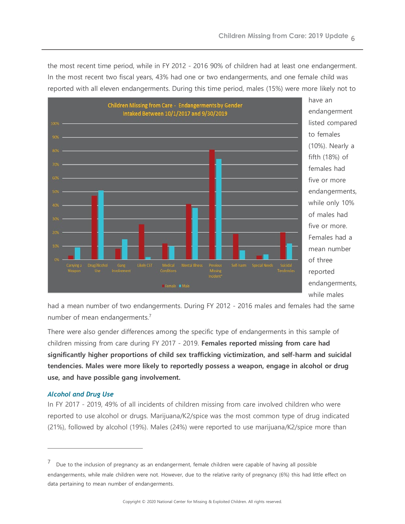the most recent time period, while in FY 2012 - 2016 90% of children had at least one endangerment. In the most recent two fiscal years, 43% had one or two endangerments, and one female child was reported with all eleven endangerments. During this time period, males (15%) were more likely not to



have an endangerment listed compared to females (10%). Nearly a fifth (18%) of females had five or more endangerments, while only 10% of males had five or more. Females had a mean number of three reported endangerments, while males

had a mean number of two endangerments. During FY 2012 - 2016 males and females had the same number of mean endangerments. [7](#page-5-0) 

There were also gender differences among the specific type of endangerments in this sample of children missing from care during FY 2017 - 2019. **Females reported missing from care had significantly higher proportions of child sex trafficking victimization, and self-harm and suicidal tendencies. Males were more likely to reportedly possess a weapon, engage in alcohol or drug use, and have possible gang involvement.**

#### *Alcohol and Drug Use*

l,

In FY 2017 - 2019, 49% of all incidents of children missing from care involved children who were reported to use alcohol or drugs. Marijuana/K2/spice was the most common type of drug indicated (21%), followed by alcohol (19%). Males (24%) were reported to use marijuana/K2/spice more than

<span id="page-5-0"></span> $7$  Due to the inclusion of pregnancy as an endangerment, female children were capable of having all possible endangerments, while male children were not. However, due to the relative rarity of pregnancy (6%) this had little effect on data pertaining to mean number of endangerments.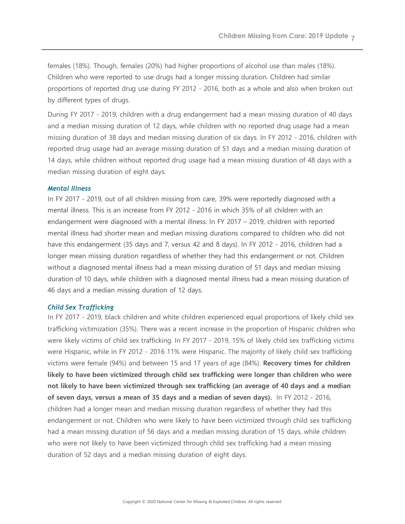females (18%). Though, females (20%) had higher proportions of alcohol use than males (18%). Children who were reported to use drugs had a longer missing duration. Children had similar proportions of reported drug use during FY 2012 - 2016, both as a whole and also when broken out by different types of drugs.

During FY 2017 - 2019, children with a drug endangerment had a mean missing duration of 40 days and a median missing duration of 12 days, while children with no reported drug usage had a mean missing duration of 38 days and median missing duration of six days. In FY 2012 - 2016, children with reported drug usage had an average missing duration of 51 days and a median missing duration of 14 days, while children without reported drug usage had a mean missing duration of 48 days with a median missing duration of eight days.

#### *Mental Illness*

In FY 2017 - 2019, out of all children missing from care, 39% were reportedly diagnosed with a mental illness. This is an increase from FY 2012 - 2016 in which 35% of all children with an endangerment were diagnosed with a mental illness. In FY 2017 – 2019, children with reported mental illness had shorter mean and median missing durations compared to children who did not have this endangerment (35 days and 7, versus 42 and 8 days). In FY 2012 - 2016, children had a longer mean missing duration regardless of whether they had this endangerment or not. Children without a diagnosed mental illness had a mean missing duration of 51 days and median missing duration of 10 days, while children with a diagnosed mental illness had a mean missing duration of 46 days and a median missing duration of 12 days.

#### *Child Sex Trafficking*

In FY 2017 - 2019, black children and white children experienced equal proportions of likely child sex trafficking victimization (35%). There was a recent increase in the proportion of Hispanic children who were likely victims of child sex trafficking. In FY 2017 - 2019, 15% of likely child sex trafficking victims were Hispanic, while in FY 2012 - 2016 11% were Hispanic. The majority of likely child sex trafficking victims were female (94%) and between 15 and 17 years of age (84%). **Recovery times for children likely to have been victimized through child sex trafficking were longer than children who were not likely to have been victimized through sex trafficking (an average of 40 days and a median of seven days, versus a mean of 35 days and a median of seven days).** In FY 2012 - 2016, children had a longer mean and median missing duration regardless of whether they had this endangerment or not. Children who were likely to have been victimized through child sex trafficking had a mean missing duration of 56 days and a median missing duration of 15 days, while children who were not likely to have been victimized through child sex trafficking had a mean missing duration of 52 days and a median missing duration of eight days.